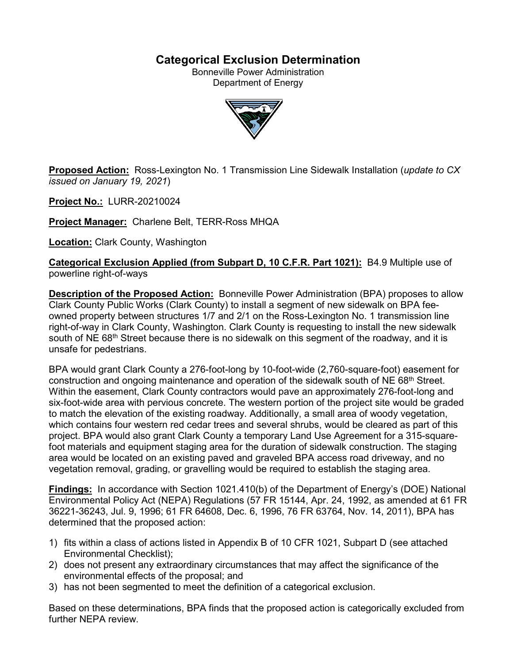# **Categorical Exclusion Determination**

Bonneville Power Administration Department of Energy



**Proposed Action:** Ross-Lexington No. 1 Transmission Line Sidewalk Installation (*update to CX issued on January 19, 2021*)

**Project No.:** LURR-20210024

**Project Manager:** Charlene Belt, TERR-Ross MHQA

**Location:** Clark County, Washington

**Categorical Exclusion Applied (from Subpart D, 10 C.F.R. Part 1021):** B4.9 Multiple use of powerline right-of-ways

**Description of the Proposed Action:** Bonneville Power Administration (BPA) proposes to allow Clark County Public Works (Clark County) to install a segment of new sidewalk on BPA feeowned property between structures 1/7 and 2/1 on the Ross-Lexington No. 1 transmission line right-of-way in Clark County, Washington. Clark County is requesting to install the new sidewalk south of NE 68<sup>th</sup> Street because there is no sidewalk on this segment of the roadway, and it is unsafe for pedestrians.

BPA would grant Clark County a 276-foot-long by 10-foot-wide (2,760-square-foot) easement for construction and ongoing maintenance and operation of the sidewalk south of NE  $68<sup>th</sup>$  Street. Within the easement, Clark County contractors would pave an approximately 276-foot-long and six-foot-wide area with pervious concrete. The western portion of the project site would be graded to match the elevation of the existing roadway. Additionally, a small area of woody vegetation, which contains four western red cedar trees and several shrubs, would be cleared as part of this project. BPA would also grant Clark County a temporary Land Use Agreement for a 315-squarefoot materials and equipment staging area for the duration of sidewalk construction. The staging area would be located on an existing paved and graveled BPA access road driveway, and no vegetation removal, grading, or gravelling would be required to establish the staging area.

**Findings:** In accordance with Section 1021.410(b) of the Department of Energy's (DOE) National Environmental Policy Act (NEPA) Regulations (57 FR 15144, Apr. 24, 1992, as amended at 61 FR 36221-36243, Jul. 9, 1996; 61 FR 64608, Dec. 6, 1996, 76 FR 63764, Nov. 14, 2011), BPA has determined that the proposed action:

- 1) fits within a class of actions listed in Appendix B of 10 CFR 1021, Subpart D (see attached Environmental Checklist);
- 2) does not present any extraordinary circumstances that may affect the significance of the environmental effects of the proposal; and
- 3) has not been segmented to meet the definition of a categorical exclusion.

Based on these determinations, BPA finds that the proposed action is categorically excluded from further NEPA review.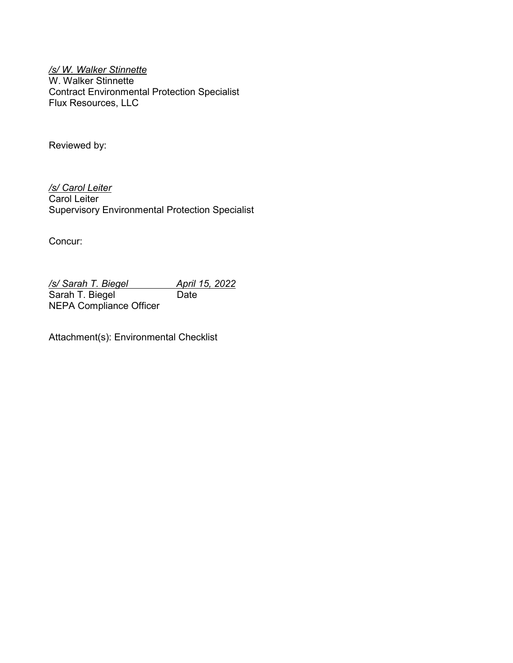*/s/ W. Walker Stinnette* W. Walker Stinnette Contract Environmental Protection Specialist Flux Resources, LLC

Reviewed by:

*/s/ Carol Leiter* Carol Leiter Supervisory Environmental Protection Specialist

Concur:

*/s/ Sarah T. Biegel April 15, 2022* Sarah T. Biegel Date NEPA Compliance Officer

Attachment(s): Environmental Checklist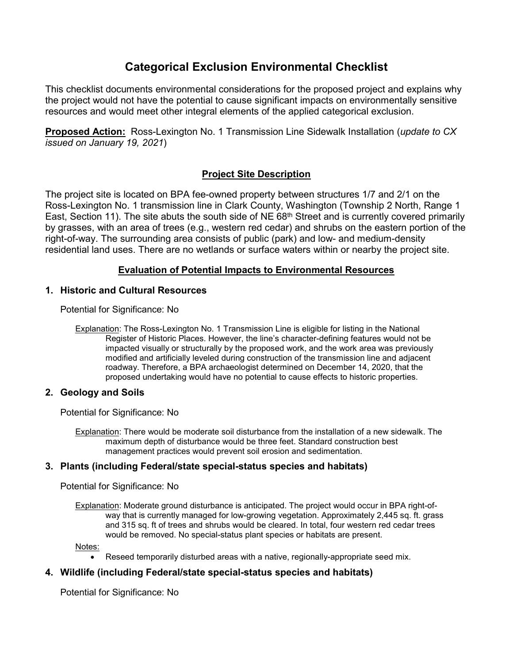# **Categorical Exclusion Environmental Checklist**

This checklist documents environmental considerations for the proposed project and explains why the project would not have the potential to cause significant impacts on environmentally sensitive resources and would meet other integral elements of the applied categorical exclusion.

**Proposed Action:** Ross-Lexington No. 1 Transmission Line Sidewalk Installation (*update to CX issued on January 19, 2021*)

# **Project Site Description**

The project site is located on BPA fee-owned property between structures 1/7 and 2/1 on the Ross-Lexington No. 1 transmission line in Clark County, Washington (Township 2 North, Range 1 East, Section 11). The site abuts the south side of NE 68<sup>th</sup> Street and is currently covered primarily by grasses, with an area of trees (e.g., western red cedar) and shrubs on the eastern portion of the right-of-way. The surrounding area consists of public (park) and low- and medium-density residential land uses. There are no wetlands or surface waters within or nearby the project site.

# **Evaluation of Potential Impacts to Environmental Resources**

### **1. Historic and Cultural Resources**

Potential for Significance: No

Explanation: The Ross-Lexington No. 1 Transmission Line is eligible for listing in the National Register of Historic Places. However, the line's character-defining features would not be impacted visually or structurally by the proposed work, and the work area was previously modified and artificially leveled during construction of the transmission line and adjacent roadway. Therefore, a BPA archaeologist determined on December 14, 2020, that the proposed undertaking would have no potential to cause effects to historic properties.

# **2. Geology and Soils**

Potential for Significance: No

Explanation: There would be moderate soil disturbance from the installation of a new sidewalk. The maximum depth of disturbance would be three feet. Standard construction best management practices would prevent soil erosion and sedimentation.

### **3. Plants (including Federal/state special-status species and habitats)**

Potential for Significance: No

Explanation: Moderate ground disturbance is anticipated. The project would occur in BPA right-ofway that is currently managed for low-growing vegetation. Approximately 2,445 sq. ft. grass and 315 sq. ft of trees and shrubs would be cleared. In total, four western red cedar trees would be removed. No special-status plant species or habitats are present.

Notes:

• Reseed temporarily disturbed areas with a native, regionally-appropriate seed mix.

# **4. Wildlife (including Federal/state special-status species and habitats)**

Potential for Significance: No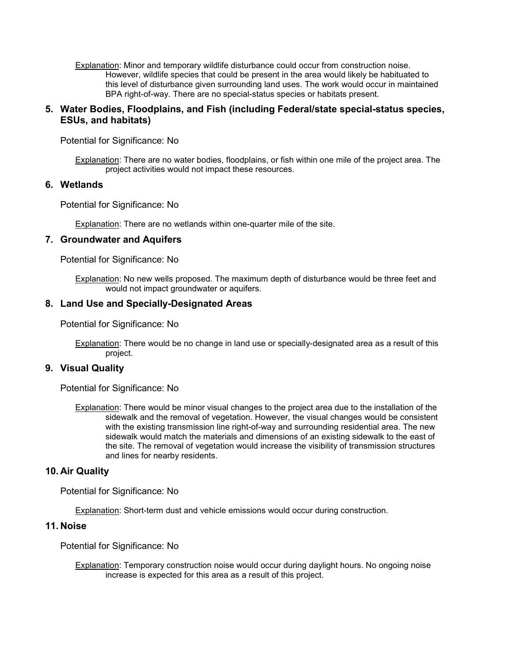Explanation: Minor and temporary wildlife disturbance could occur from construction noise. However, wildlife species that could be present in the area would likely be habituated to this level of disturbance given surrounding land uses. The work would occur in maintained BPA right-of-way. There are no special-status species or habitats present.

### **5. Water Bodies, Floodplains, and Fish (including Federal/state special-status species, ESUs, and habitats)**

Potential for Significance: No

Explanation: There are no water bodies, floodplains, or fish within one mile of the project area. The project activities would not impact these resources.

#### **6. Wetlands**

Potential for Significance: No

Explanation: There are no wetlands within one-quarter mile of the site.

#### **7. Groundwater and Aquifers**

Potential for Significance: No

Explanation: No new wells proposed. The maximum depth of disturbance would be three feet and would not impact groundwater or aquifers.

#### **8. Land Use and Specially-Designated Areas**

Potential for Significance: No

Explanation: There would be no change in land use or specially-designated area as a result of this project.

#### **9. Visual Quality**

Potential for Significance: No

Explanation: There would be minor visual changes to the project area due to the installation of the sidewalk and the removal of vegetation. However, the visual changes would be consistent with the existing transmission line right-of-way and surrounding residential area. The new sidewalk would match the materials and dimensions of an existing sidewalk to the east of the site. The removal of vegetation would increase the visibility of transmission structures and lines for nearby residents.

#### **10. Air Quality**

Potential for Significance: No

Explanation: Short-term dust and vehicle emissions would occur during construction.

#### **11. Noise**

Potential for Significance: No

Explanation: Temporary construction noise would occur during daylight hours. No ongoing noise increase is expected for this area as a result of this project.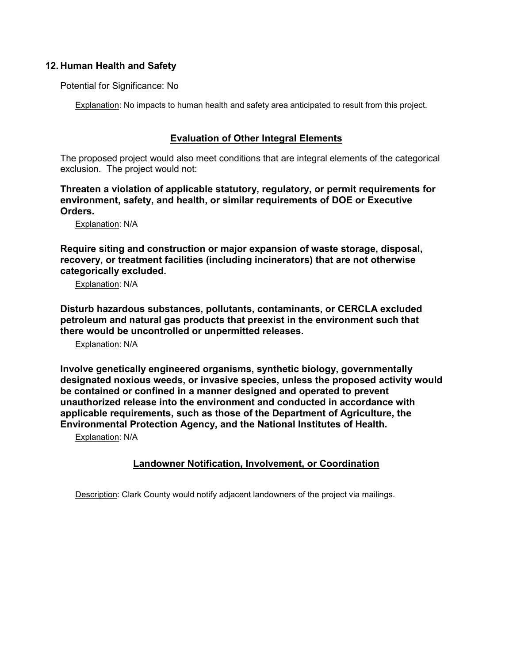### **12. Human Health and Safety**

Potential for Significance: No

Explanation: No impacts to human health and safety area anticipated to result from this project.

## **Evaluation of Other Integral Elements**

The proposed project would also meet conditions that are integral elements of the categorical exclusion. The project would not:

**Threaten a violation of applicable statutory, regulatory, or permit requirements for environment, safety, and health, or similar requirements of DOE or Executive Orders.**

Explanation: N/A

**Require siting and construction or major expansion of waste storage, disposal, recovery, or treatment facilities (including incinerators) that are not otherwise categorically excluded.**

Explanation: N/A

**Disturb hazardous substances, pollutants, contaminants, or CERCLA excluded petroleum and natural gas products that preexist in the environment such that there would be uncontrolled or unpermitted releases.**

Explanation: N/A

**Involve genetically engineered organisms, synthetic biology, governmentally designated noxious weeds, or invasive species, unless the proposed activity would be contained or confined in a manner designed and operated to prevent unauthorized release into the environment and conducted in accordance with applicable requirements, such as those of the Department of Agriculture, the Environmental Protection Agency, and the National Institutes of Health.**

Explanation: N/A

# **Landowner Notification, Involvement, or Coordination**

Description: Clark County would notify adjacent landowners of the project via mailings.